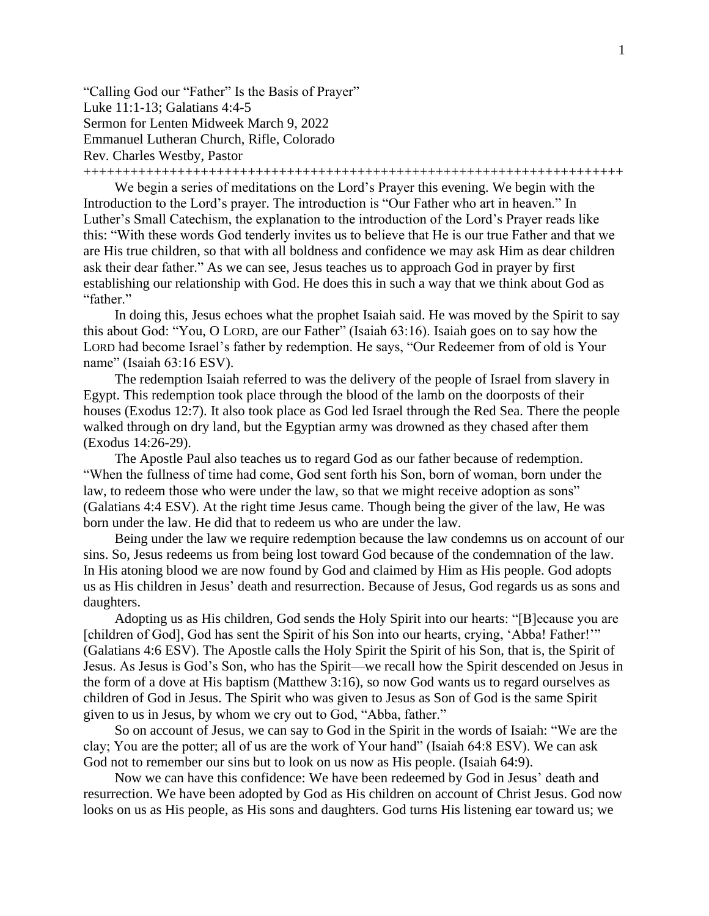"Calling God our "Father" Is the Basis of Prayer" Luke 11:1-13; Galatians 4:4-5 Sermon for Lenten Midweek March 9, 2022 Emmanuel Lutheran Church, Rifle, Colorado Rev. Charles Westby, Pastor

+++++++++++++++++++++++++++++++++++++++++++++++++++++++++++++++++++++

We begin a series of meditations on the Lord's Prayer this evening. We begin with the Introduction to the Lord's prayer. The introduction is "Our Father who art in heaven." In Luther's Small Catechism, the explanation to the introduction of the Lord's Prayer reads like this: "With these words God tenderly invites us to believe that He is our true Father and that we are His true children, so that with all boldness and confidence we may ask Him as dear children ask their dear father." As we can see, Jesus teaches us to approach God in prayer by first establishing our relationship with God. He does this in such a way that we think about God as "father."

In doing this, Jesus echoes what the prophet Isaiah said. He was moved by the Spirit to say this about God: "You, O LORD, are our Father" (Isaiah 63:16). Isaiah goes on to say how the LORD had become Israel's father by redemption. He says, "Our Redeemer from of old is Your name" (Isaiah 63:16 ESV).

The redemption Isaiah referred to was the delivery of the people of Israel from slavery in Egypt. This redemption took place through the blood of the lamb on the doorposts of their houses (Exodus 12:7). It also took place as God led Israel through the Red Sea. There the people walked through on dry land, but the Egyptian army was drowned as they chased after them (Exodus 14:26-29).

The Apostle Paul also teaches us to regard God as our father because of redemption. "When the fullness of time had come, God sent forth his Son, born of woman, born under the law, to redeem those who were under the law, so that we might receive adoption as sons" (Galatians 4:4 ESV). At the right time Jesus came. Though being the giver of the law, He was born under the law. He did that to redeem us who are under the law.

Being under the law we require redemption because the law condemns us on account of our sins. So, Jesus redeems us from being lost toward God because of the condemnation of the law. In His atoning blood we are now found by God and claimed by Him as His people. God adopts us as His children in Jesus' death and resurrection. Because of Jesus, God regards us as sons and daughters.

Adopting us as His children, God sends the Holy Spirit into our hearts: "[B]ecause you are [children of God], God has sent the Spirit of his Son into our hearts, crying, 'Abba! Father!'" (Galatians 4:6 ESV). The Apostle calls the Holy Spirit the Spirit of his Son, that is, the Spirit of Jesus. As Jesus is God's Son, who has the Spirit—we recall how the Spirit descended on Jesus in the form of a dove at His baptism (Matthew 3:16), so now God wants us to regard ourselves as children of God in Jesus. The Spirit who was given to Jesus as Son of God is the same Spirit given to us in Jesus, by whom we cry out to God, "Abba, father."

So on account of Jesus, we can say to God in the Spirit in the words of Isaiah: "We are the clay; You are the potter; all of us are the work of Your hand" (Isaiah 64:8 ESV). We can ask God not to remember our sins but to look on us now as His people. (Isaiah 64:9).

Now we can have this confidence: We have been redeemed by God in Jesus' death and resurrection. We have been adopted by God as His children on account of Christ Jesus. God now looks on us as His people, as His sons and daughters. God turns His listening ear toward us; we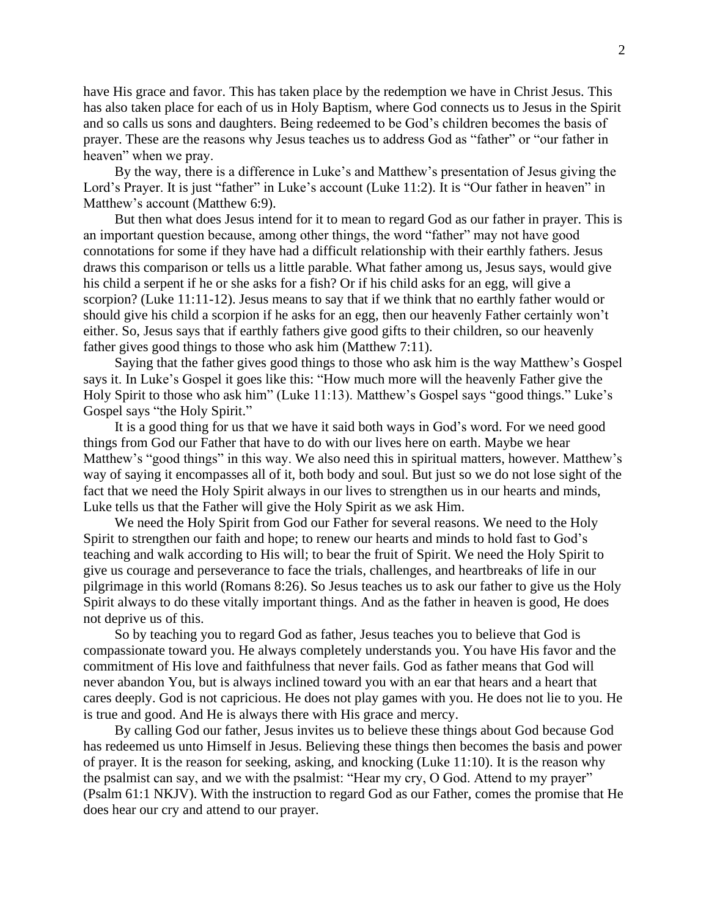have His grace and favor. This has taken place by the redemption we have in Christ Jesus. This has also taken place for each of us in Holy Baptism, where God connects us to Jesus in the Spirit and so calls us sons and daughters. Being redeemed to be God's children becomes the basis of prayer. These are the reasons why Jesus teaches us to address God as "father" or "our father in heaven" when we pray.

By the way, there is a difference in Luke's and Matthew's presentation of Jesus giving the Lord's Prayer. It is just "father" in Luke's account (Luke 11:2). It is "Our father in heaven" in Matthew's account (Matthew 6:9).

But then what does Jesus intend for it to mean to regard God as our father in prayer. This is an important question because, among other things, the word "father" may not have good connotations for some if they have had a difficult relationship with their earthly fathers. Jesus draws this comparison or tells us a little parable. What father among us, Jesus says, would give his child a serpent if he or she asks for a fish? Or if his child asks for an egg, will give a scorpion? (Luke 11:11-12). Jesus means to say that if we think that no earthly father would or should give his child a scorpion if he asks for an egg, then our heavenly Father certainly won't either. So, Jesus says that if earthly fathers give good gifts to their children, so our heavenly father gives good things to those who ask him (Matthew 7:11).

Saying that the father gives good things to those who ask him is the way Matthew's Gospel says it. In Luke's Gospel it goes like this: "How much more will the heavenly Father give the Holy Spirit to those who ask him" (Luke 11:13). Matthew's Gospel says "good things." Luke's Gospel says "the Holy Spirit."

It is a good thing for us that we have it said both ways in God's word. For we need good things from God our Father that have to do with our lives here on earth. Maybe we hear Matthew's "good things" in this way. We also need this in spiritual matters, however. Matthew's way of saying it encompasses all of it, both body and soul. But just so we do not lose sight of the fact that we need the Holy Spirit always in our lives to strengthen us in our hearts and minds, Luke tells us that the Father will give the Holy Spirit as we ask Him.

We need the Holy Spirit from God our Father for several reasons. We need to the Holy Spirit to strengthen our faith and hope; to renew our hearts and minds to hold fast to God's teaching and walk according to His will; to bear the fruit of Spirit. We need the Holy Spirit to give us courage and perseverance to face the trials, challenges, and heartbreaks of life in our pilgrimage in this world (Romans 8:26). So Jesus teaches us to ask our father to give us the Holy Spirit always to do these vitally important things. And as the father in heaven is good, He does not deprive us of this.

So by teaching you to regard God as father, Jesus teaches you to believe that God is compassionate toward you. He always completely understands you. You have His favor and the commitment of His love and faithfulness that never fails. God as father means that God will never abandon You, but is always inclined toward you with an ear that hears and a heart that cares deeply. God is not capricious. He does not play games with you. He does not lie to you. He is true and good. And He is always there with His grace and mercy.

By calling God our father, Jesus invites us to believe these things about God because God has redeemed us unto Himself in Jesus. Believing these things then becomes the basis and power of prayer. It is the reason for seeking, asking, and knocking (Luke 11:10). It is the reason why the psalmist can say, and we with the psalmist: "Hear my cry, O God. Attend to my prayer" (Psalm 61:1 NKJV). With the instruction to regard God as our Father, comes the promise that He does hear our cry and attend to our prayer.